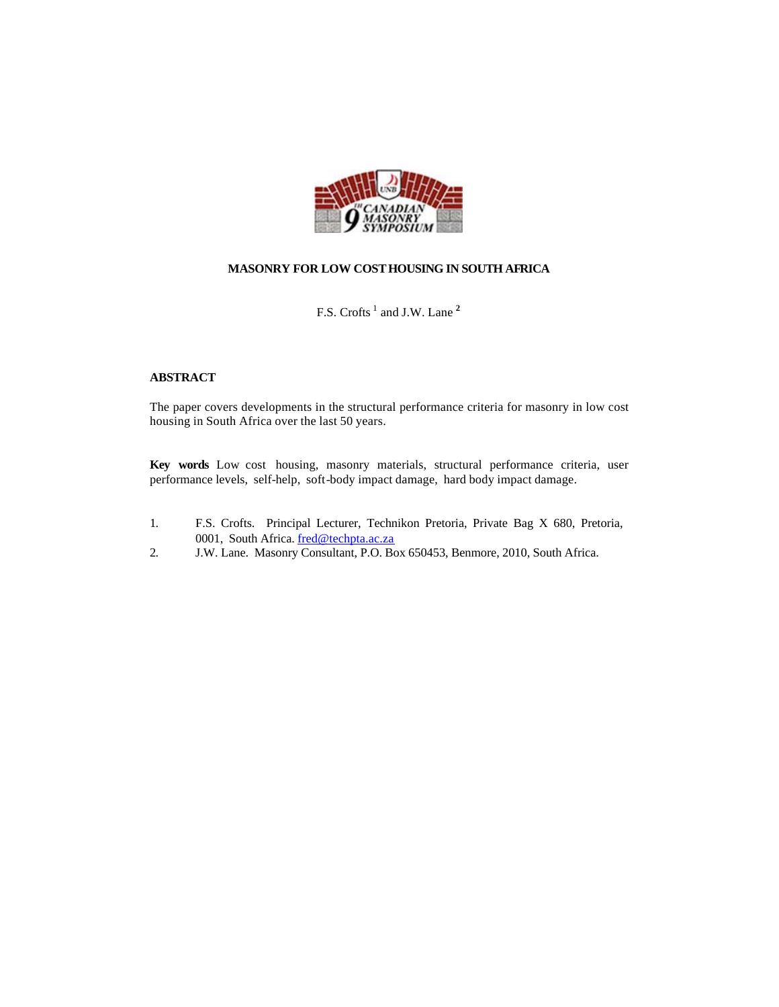

# **MASONRY FOR LOW COST HOUSING IN SOUTH AFRICA**

F.S. Crofts<sup>1</sup> and J.W. Lane<sup>2</sup>

# **ABSTRACT**

The paper covers developments in the structural performance criteria for masonry in low cost housing in South Africa over the last 50 years.

**Key words** Low cost housing, masonry materials, structural performance criteria, user performance levels, self-help, soft-body impact damage, hard body impact damage.

- 1. F.S. Crofts. Principal Lecturer, Technikon Pretoria, Private Bag X 680, Pretoria, 0001, South Africa. fred@techpta.ac.za
- 2. J.W. Lane. Masonry Consultant, P.O. Box 650453, Benmore, 2010, South Africa.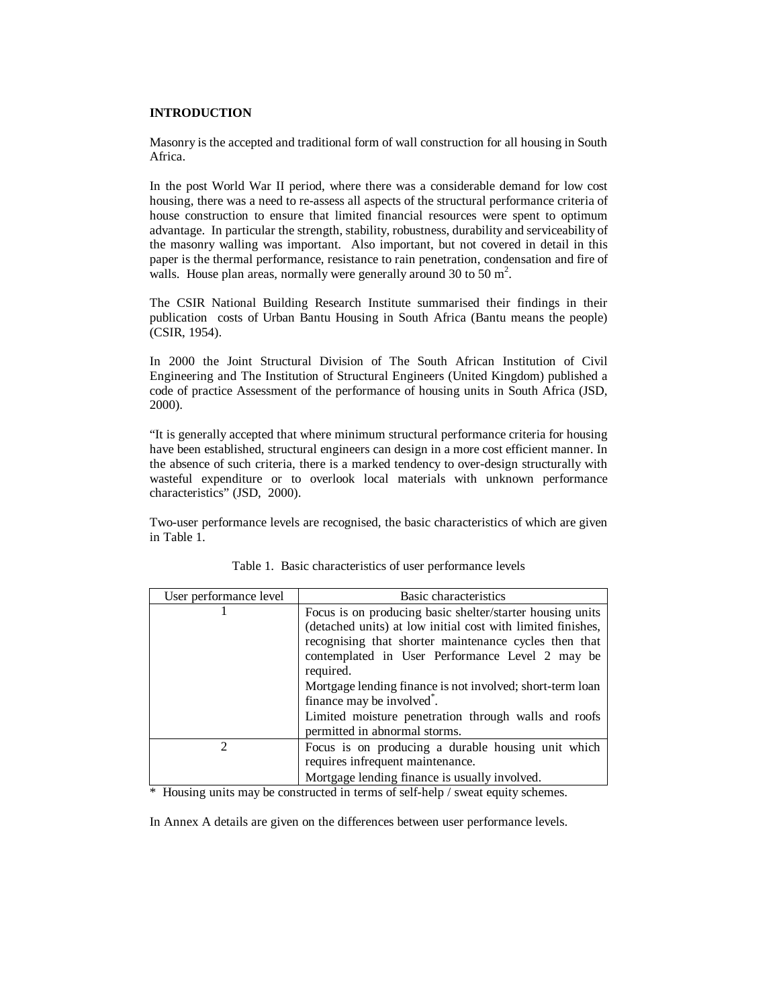## **INTRODUCTION**

Masonry is the accepted and traditional form of wall construction for all housing in South Africa.

In the post World War II period, where there was a considerable demand for low cost housing, there was a need to re-assess all aspects of the structural performance criteria of house construction to ensure that limited financial resources were spent to optimum advantage. In particular the strength, stability, robustness, durability and serviceability of the masonry walling was important. Also important, but not covered in detail in this paper is the thermal performance, resistance to rain penetration, condensation and fire of walls. House plan areas, normally were generally around 30 to 50  $m^2$ .

The CSIR National Building Research Institute summarised their findings in their publication costs of Urban Bantu Housing in South Africa (Bantu means the people) (CSIR, 1954).

In 2000 the Joint Structural Division of The South African Institution of Civil Engineering and The Institution of Structural Engineers (United Kingdom) published a code of practice Assessment of the performance of housing units in South Africa (JSD, 2000).

"It is generally accepted that where minimum structural performance criteria for housing have been established, structural engineers can design in a more cost efficient manner. In the absence of such criteria, there is a marked tendency to over-design structurally with wasteful expenditure or to overlook local materials with unknown performance characteristics" (JSD, 2000).

Two-user performance levels are recognised, the basic characteristics of which are given in Table 1.

| User performance level | Basic characteristics                                                                                                                                                                                                                                                                                                                                                                                            |
|------------------------|------------------------------------------------------------------------------------------------------------------------------------------------------------------------------------------------------------------------------------------------------------------------------------------------------------------------------------------------------------------------------------------------------------------|
|                        | Focus is on producing basic shelter/starter housing units<br>(detached units) at low initial cost with limited finishes,<br>recognising that shorter maintenance cycles then that<br>contemplated in User Performance Level 2 may be<br>required.<br>Mortgage lending finance is not involved; short-term loan<br>finance may be involved <sup>*</sup> .<br>Limited moisture penetration through walls and roofs |
|                        | permitted in abnormal storms.                                                                                                                                                                                                                                                                                                                                                                                    |
| っ                      | Focus is on producing a durable housing unit which<br>requires infrequent maintenance.<br>Mortgage lending finance is usually involved.                                                                                                                                                                                                                                                                          |

Table 1. Basic characteristics of user performance levels

\* Housing units may be constructed in terms of self-help / sweat equity schemes.

In Annex A details are given on the differences between user performance levels.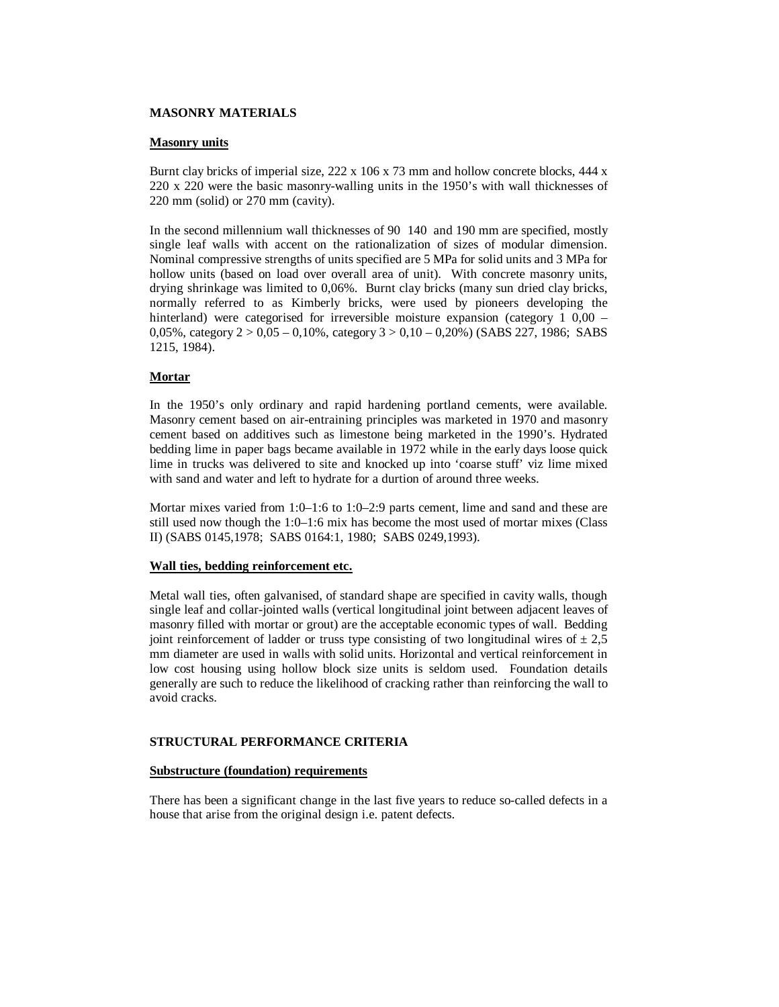## **MASONRY MATERIALS**

### **Masonry units**

Burnt clay bricks of imperial size,  $222 \times 106 \times 73$  mm and hollow concrete blocks,  $444 \times$ 220 x 220 were the basic masonry-walling units in the 1950's with wall thicknesses of 220 mm (solid) or 270 mm (cavity).

In the second millennium wall thicknesses of 90 140 and 190 mm are specified, mostly single leaf walls with accent on the rationalization of sizes of modular dimension. Nominal compressive strengths of units specified are 5 MPa for solid units and 3 MPa for hollow units (based on load over overall area of unit). With concrete masonry units, drying shrinkage was limited to 0,06%. Burnt clay bricks (many sun dried clay bricks, normally referred to as Kimberly bricks, were used by pioneers developing the hinterland) were categorised for irreversible moisture expansion (category 1 0,00 – 0,05%, category  $2 > 0.05 - 0.10$ %, category  $3 > 0.10 - 0.20$ %) (SABS 227, 1986; SABS 1215, 1984).

### **Mortar**

In the 1950's only ordinary and rapid hardening portland cements, were available. Masonry cement based on air-entraining principles was marketed in 1970 and masonry cement based on additives such as limestone being marketed in the 1990's. Hydrated bedding lime in paper bags became available in 1972 while in the early days loose quick lime in trucks was delivered to site and knocked up into 'coarse stuff' viz lime mixed with sand and water and left to hydrate for a durtion of around three weeks.

Mortar mixes varied from 1:0–1:6 to 1:0–2:9 parts cement, lime and sand and these are still used now though the 1:0–1:6 mix has become the most used of mortar mixes (Class II) (SABS 0145,1978; SABS 0164:1, 1980; SABS 0249,1993).

## **Wall ties, bedding reinforcement etc.**

Metal wall ties, often galvanised, of standard shape are specified in cavity walls, though single leaf and collar-jointed walls (vertical longitudinal joint between adjacent leaves of masonry filled with mortar or grout) are the acceptable economic types of wall. Bedding joint reinforcement of ladder or truss type consisting of two longitudinal wires of  $\pm 2.5$ mm diameter are used in walls with solid units. Horizontal and vertical reinforcement in low cost housing using hollow block size units is seldom used. Foundation details generally are such to reduce the likelihood of cracking rather than reinforcing the wall to avoid cracks.

## **STRUCTURAL PERFORMANCE CRITERIA**

#### **Substructure (foundation) requirements**

There has been a significant change in the last five years to reduce so-called defects in a house that arise from the original design i.e. patent defects.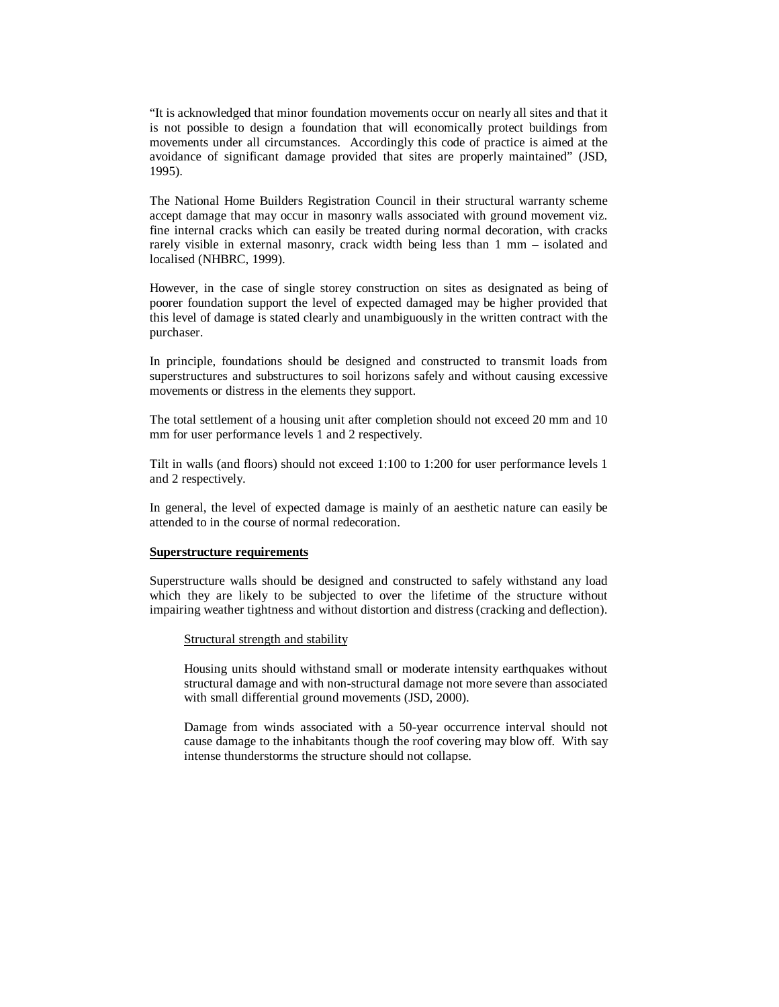"It is acknowledged that minor foundation movements occur on nearly all sites and that it is not possible to design a foundation that will economically protect buildings from movements under all circumstances. Accordingly this code of practice is aimed at the avoidance of significant damage provided that sites are properly maintained" (JSD, 1995).

The National Home Builders Registration Council in their structural warranty scheme accept damage that may occur in masonry walls associated with ground movement viz. fine internal cracks which can easily be treated during normal decoration, with cracks rarely visible in external masonry, crack width being less than 1 mm – isolated and localised (NHBRC, 1999).

However, in the case of single storey construction on sites as designated as being of poorer foundation support the level of expected damaged may be higher provided that this level of damage is stated clearly and unambiguously in the written contract with the purchaser.

In principle, foundations should be designed and constructed to transmit loads from superstructures and substructures to soil horizons safely and without causing excessive movements or distress in the elements they support.

The total settlement of a housing unit after completion should not exceed 20 mm and 10 mm for user performance levels 1 and 2 respectively.

Tilt in walls (and floors) should not exceed 1:100 to 1:200 for user performance levels 1 and 2 respectively.

In general, the level of expected damage is mainly of an aesthetic nature can easily be attended to in the course of normal redecoration.

## **Superstructure requirements**

Superstructure walls should be designed and constructed to safely withstand any load which they are likely to be subjected to over the lifetime of the structure without impairing weather tightness and without distortion and distress (cracking and deflection).

#### Structural strength and stability

Housing units should withstand small or moderate intensity earthquakes without structural damage and with non-structural damage not more severe than associated with small differential ground movements (JSD, 2000).

Damage from winds associated with a 50-year occurrence interval should not cause damage to the inhabitants though the roof covering may blow off. With say intense thunderstorms the structure should not collapse.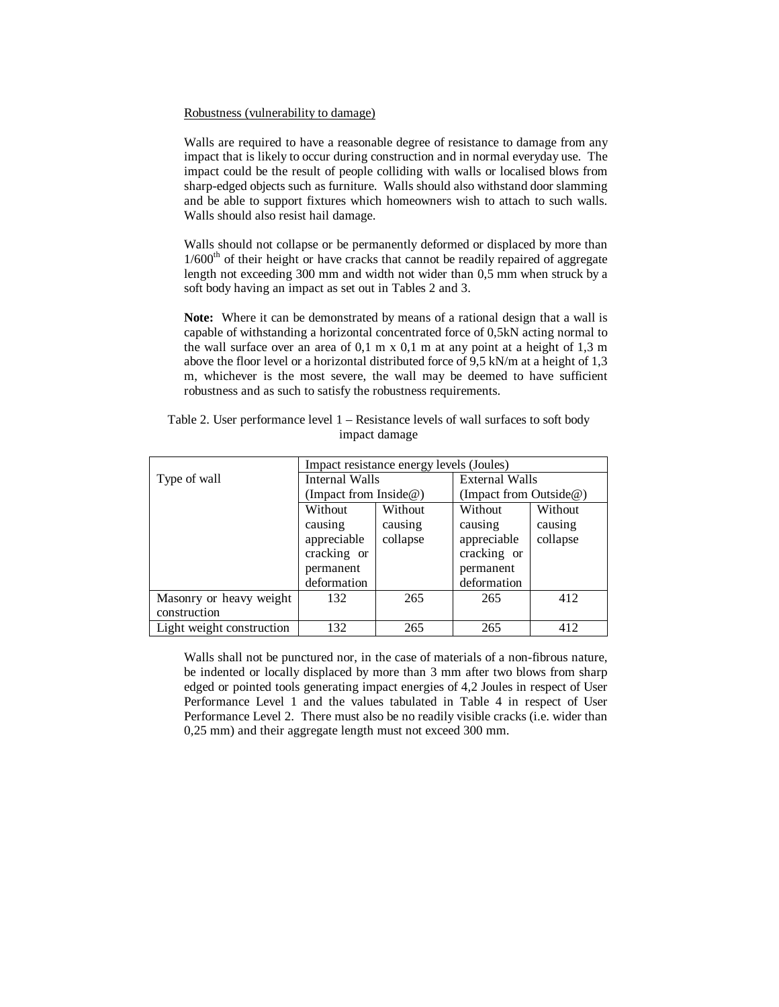### Robustness (vulnerability to damage)

Walls are required to have a reasonable degree of resistance to damage from any impact that is likely to occur during construction and in normal everyday use. The impact could be the result of people colliding with walls or localised blows from sharp-edged objects such as furniture. Walls should also withstand door slamming and be able to support fixtures which homeowners wish to attach to such walls. Walls should also resist hail damage.

Walls should not collapse or be permanently deformed or displaced by more than  $1/600<sup>th</sup>$  of their height or have cracks that cannot be readily repaired of aggregate length not exceeding 300 mm and width not wider than 0,5 mm when struck by a soft body having an impact as set out in Tables 2 and 3.

**Note:** Where it can be demonstrated by means of a rational design that a wall is capable of withstanding a horizontal concentrated force of 0,5kN acting normal to the wall surface over an area of  $0,1 \text{ m} \times 0,1 \text{ m}$  at any point at a height of  $1,3 \text{ m}$ above the floor level or a horizontal distributed force of 9,5 kN/m at a height of 1,3 m, whichever is the most severe, the wall may be deemed to have sufficient robustness and as such to satisfy the robustness requirements.

|                           | Impact resistance energy levels (Joules) |          |                        |          |
|---------------------------|------------------------------------------|----------|------------------------|----------|
| Type of wall              | Internal Walls                           |          | <b>External Walls</b>  |          |
|                           | (Impact from Inside $@$ )                |          | (Impact from Outside@) |          |
|                           | Without                                  | Without  | Without                | Without  |
|                           | causing                                  | causing  | causing                | causing  |
|                           | appreciable                              | collapse | appreciable            | collapse |
|                           | cracking or                              |          | cracking or            |          |
|                           | permanent                                |          | permanent              |          |
|                           | deformation                              |          | deformation            |          |
| Masonry or heavy weight   | 132                                      | 265      | 265                    | 412      |
| construction              |                                          |          |                        |          |
| Light weight construction | 132                                      | 265      | 265                    | 412      |

Table 2. User performance level 1 – Resistance levels of wall surfaces to soft body impact damage

Walls shall not be punctured nor, in the case of materials of a non-fibrous nature, be indented or locally displaced by more than 3 mm after two blows from sharp edged or pointed tools generating impact energies of 4,2 Joules in respect of User Performance Level 1 and the values tabulated in Table 4 in respect of User Performance Level 2. There must also be no readily visible cracks (i.e. wider than 0,25 mm) and their aggregate length must not exceed 300 mm.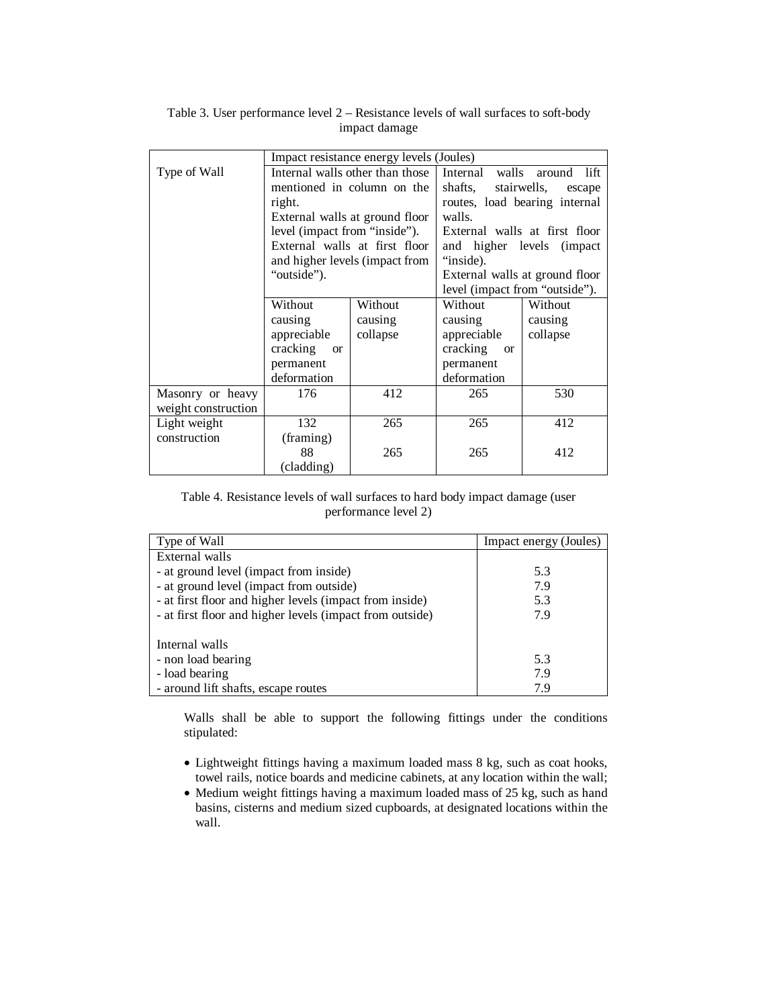|                     | Impact resistance energy levels (Joules) |                                |                                      |                               |
|---------------------|------------------------------------------|--------------------------------|--------------------------------------|-------------------------------|
| Type of Wall        | Internal walls other than those          |                                | Internal                             | walls around<br>lift          |
|                     | mentioned in column on the               |                                | shafts,                              | stairwells,<br>escape         |
|                     | right.                                   |                                |                                      | routes, load bearing internal |
|                     |                                          | External walls at ground floor | walls.                               |                               |
|                     | level (impact from "inside").            |                                |                                      | External walls at first floor |
|                     | External walls at first floor            |                                | and higher levels<br><i>(impact)</i> |                               |
|                     |                                          | and higher levels (impact from | "inside).                            |                               |
|                     | "outside").                              |                                | External walls at ground floor       |                               |
|                     |                                          |                                | level (impact from "outside").       |                               |
|                     | Without                                  | Without                        | Without                              | Without                       |
|                     | causing                                  | causing                        | causing                              | causing                       |
|                     | appreciable                              | collapse                       | appreciable                          | collapse                      |
|                     | cracking<br><sub>or</sub>                |                                | cracking<br><sub>or</sub>            |                               |
|                     | permanent                                |                                | permanent                            |                               |
|                     | deformation                              |                                | deformation                          |                               |
| Masonry or heavy    | 176                                      | 412                            | 265                                  | 530                           |
| weight construction |                                          |                                |                                      |                               |
| Light weight        | 132                                      | 265                            | 265                                  | 412                           |
| construction        | (framing)                                |                                |                                      |                               |
|                     | 88                                       | 265                            | 265                                  | 412                           |
|                     | (cladding)                               |                                |                                      |                               |

Table 3. User performance level 2 – Resistance levels of wall surfaces to soft-body impact damage

# Table 4. Resistance levels of wall surfaces to hard body impact damage (user performance level 2)

| Type of Wall                                             | Impact energy (Joules) |
|----------------------------------------------------------|------------------------|
| External walls                                           |                        |
| - at ground level (impact from inside)                   | 5.3                    |
| - at ground level (impact from outside)                  | 7.9                    |
| - at first floor and higher levels (impact from inside)  | 5.3                    |
| - at first floor and higher levels (impact from outside) | 7.9                    |
|                                                          |                        |
| Internal walls                                           |                        |
| - non load bearing                                       | 5.3                    |
| - load bearing                                           | 7.9                    |
| - around lift shafts, escape routes                      | 7.9                    |

Walls shall be able to support the following fittings under the conditions stipulated:

- Lightweight fittings having a maximum loaded mass 8 kg, such as coat hooks, towel rails, notice boards and medicine cabinets, at any location within the wall;
- Medium weight fittings having a maximum loaded mass of 25 kg, such as hand basins, cisterns and medium sized cupboards, at designated locations within the wall.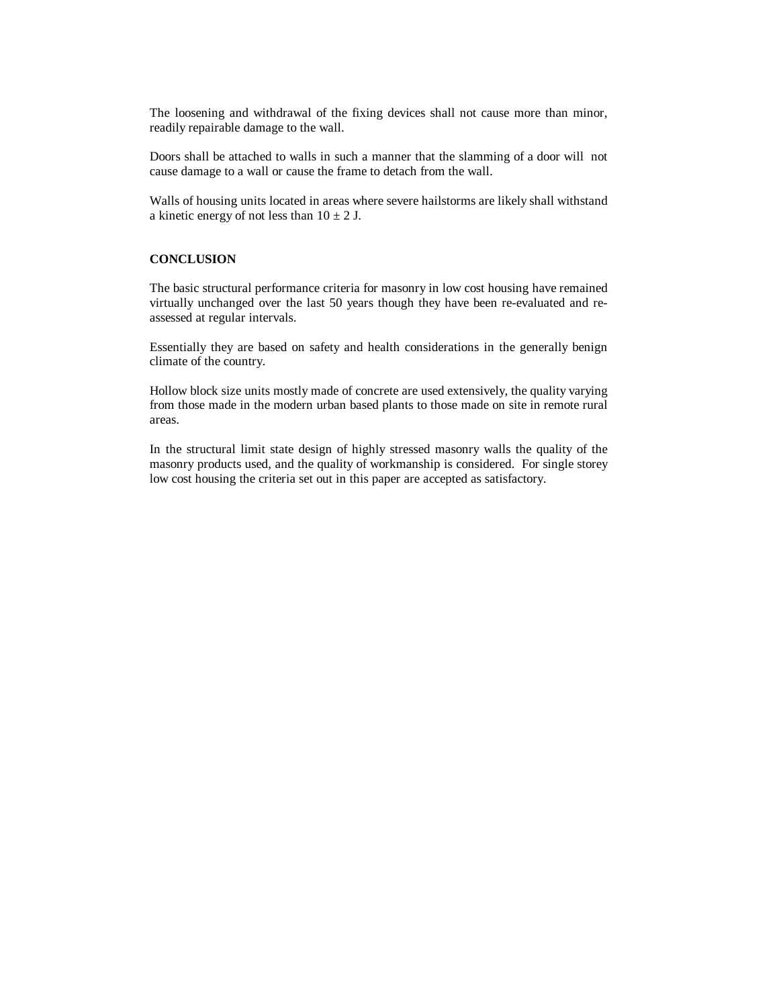The loosening and withdrawal of the fixing devices shall not cause more than minor, readily repairable damage to the wall.

Doors shall be attached to walls in such a manner that the slamming of a door will not cause damage to a wall or cause the frame to detach from the wall.

Walls of housing units located in areas where severe hailstorms are likely shall withstand a kinetic energy of not less than  $10 \pm 2$  J.

# **CONCLUSION**

The basic structural performance criteria for masonry in low cost housing have remained virtually unchanged over the last 50 years though they have been re-evaluated and reassessed at regular intervals.

Essentially they are based on safety and health considerations in the generally benign climate of the country.

Hollow block size units mostly made of concrete are used extensively, the quality varying from those made in the modern urban based plants to those made on site in remote rural areas.

In the structural limit state design of highly stressed masonry walls the quality of the masonry products used, and the quality of workmanship is considered. For single storey low cost housing the criteria set out in this paper are accepted as satisfactory.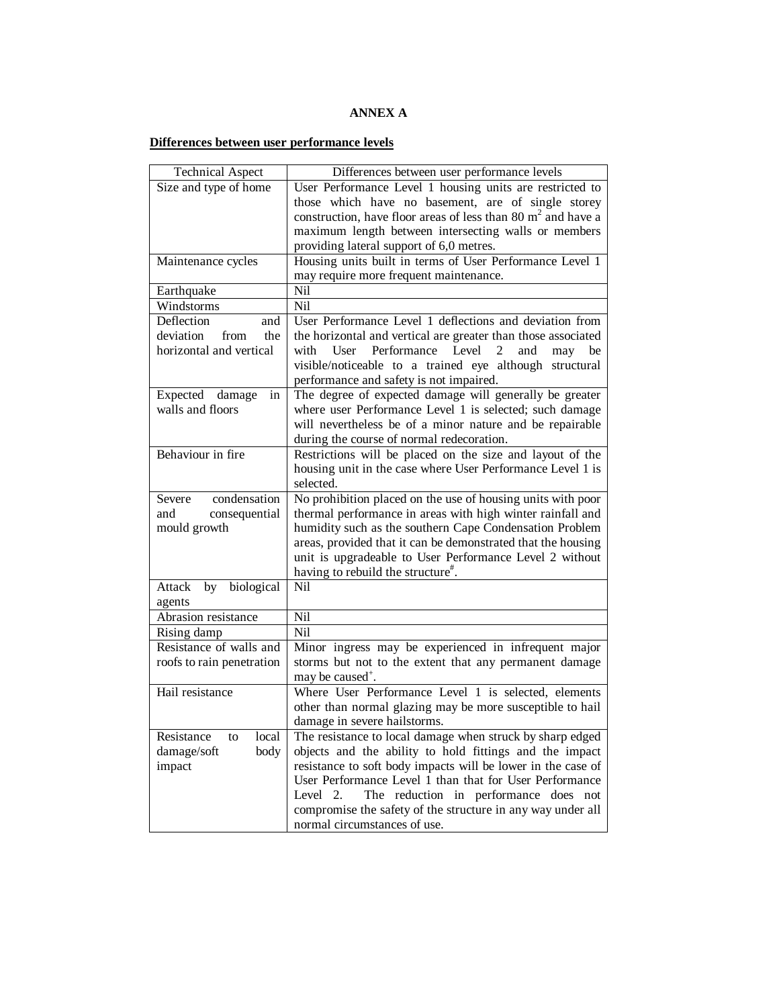# **ANNEX A**

# **Differences between user performance levels**

| <b>Technical Aspect</b>       | Differences between user performance levels                                                        |
|-------------------------------|----------------------------------------------------------------------------------------------------|
| Size and type of home         | User Performance Level 1 housing units are restricted to                                           |
|                               | those which have no basement, are of single storey                                                 |
|                               | construction, have floor areas of less than 80 $m2$ and have a                                     |
|                               | maximum length between intersecting walls or members                                               |
|                               | providing lateral support of 6,0 metres.                                                           |
| Maintenance cycles            | Housing units built in terms of User Performance Level 1                                           |
|                               | may require more frequent maintenance.                                                             |
| Earthquake                    | Nil                                                                                                |
| Windstorms                    | Nil                                                                                                |
| Deflection<br>and             | User Performance Level 1 deflections and deviation from                                            |
| deviation<br>the<br>from      | the horizontal and vertical are greater than those associated                                      |
| horizontal and vertical       | User Performance Level<br>with<br>2<br>and                                                         |
|                               | may be<br>visible/noticeable to a trained eye although structural                                  |
|                               |                                                                                                    |
| Expected damage               | performance and safety is not impaired.<br>The degree of expected damage will generally be greater |
| in<br>walls and floors        | where user Performance Level 1 is selected; such damage                                            |
|                               | will nevertheless be of a minor nature and be repairable                                           |
|                               | during the course of normal redecoration.                                                          |
| Behaviour in fire             |                                                                                                    |
|                               | Restrictions will be placed on the size and layout of the                                          |
|                               | housing unit in the case where User Performance Level 1 is<br>selected.                            |
| condensation                  |                                                                                                    |
| Severe                        | No prohibition placed on the use of housing units with poor                                        |
| consequential<br>and          | thermal performance in areas with high winter rainfall and                                         |
| mould growth                  | humidity such as the southern Cape Condensation Problem                                            |
|                               | areas, provided that it can be demonstrated that the housing                                       |
|                               | unit is upgradeable to User Performance Level 2 without                                            |
| by biological                 | having to rebuild the structure".<br>Nil                                                           |
| Attack                        |                                                                                                    |
| agents<br>Abrasion resistance | Nil                                                                                                |
|                               |                                                                                                    |
| Rising damp                   | Nil                                                                                                |
| Resistance of walls and       | Minor ingress may be experienced in infrequent major                                               |
| roofs to rain penetration     | storms but not to the extent that any permanent damage                                             |
|                               | may be caused <sup>+</sup> .                                                                       |
| Hail resistance               | Where User Performance Level 1 is selected, elements                                               |
|                               | other than normal glazing may be more susceptible to hail                                          |
|                               | damage in severe hailstorms.                                                                       |
| local<br>Resistance<br>to     | The resistance to local damage when struck by sharp edged                                          |
| body<br>damage/soft           | objects and the ability to hold fittings and the impact                                            |
| impact                        | resistance to soft body impacts will be lower in the case of                                       |
|                               | User Performance Level 1 than that for User Performance                                            |
|                               | Level 2.<br>The reduction in performance does not                                                  |
|                               | compromise the safety of the structure in any way under all                                        |
|                               | normal circumstances of use.                                                                       |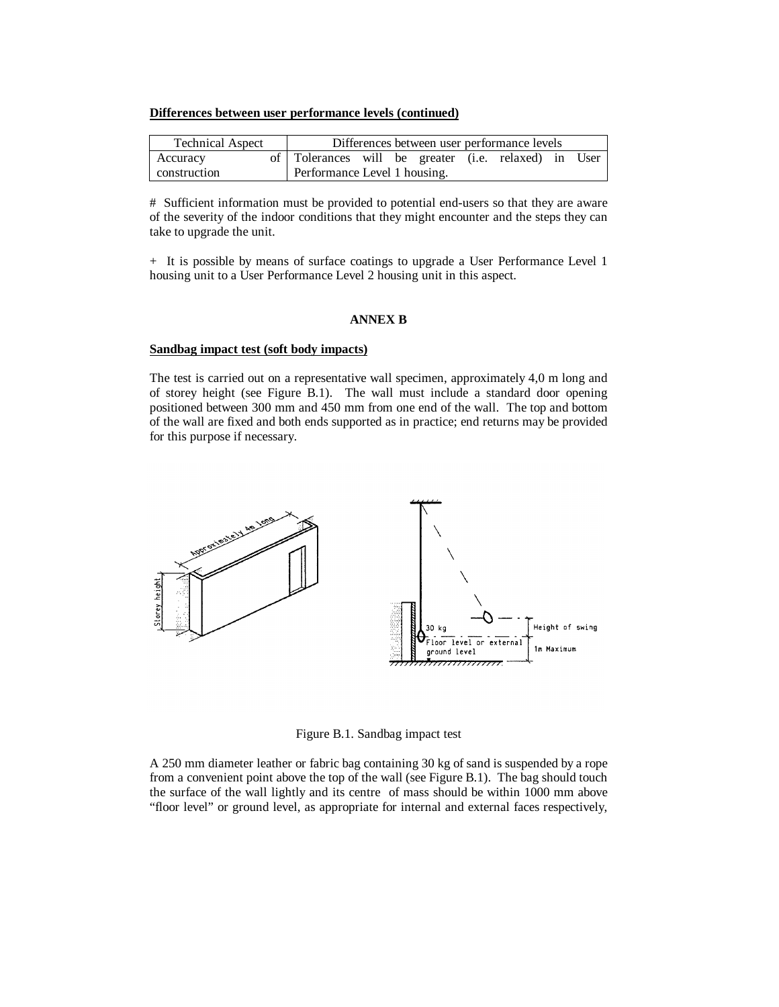#### **Differences between user performance levels (continued)**

| <b>Technical Aspect</b> | Differences between user performance levels          |  |
|-------------------------|------------------------------------------------------|--|
| <b>Accuracy</b>         | of Tolerances will be greater (i.e. relaxed) in User |  |
| construction            | Performance Level 1 housing.                         |  |

# Sufficient information must be provided to potential end-users so that they are aware of the severity of the indoor conditions that they might encounter and the steps they can take to upgrade the unit.

+ It is possible by means of surface coatings to upgrade a User Performance Level 1 housing unit to a User Performance Level 2 housing unit in this aspect.

### **ANNEX B**

# **Sandbag impact test (soft body impacts)**

The test is carried out on a representative wall specimen, approximately 4,0 m long and of storey height (see Figure B.1). The wall must include a standard door opening positioned between 300 mm and 450 mm from one end of the wall. The top and bottom of the wall are fixed and both ends supported as in practice; end returns may be provided for this purpose if necessary.



Figure B.1. Sandbag impact test

A 250 mm diameter leather or fabric bag containing 30 kg of sand is suspended by a rope from a convenient point above the top of the wall (see Figure B.1). The bag should touch the surface of the wall lightly and its centre of mass should be within 1000 mm above "floor level" or ground level, as appropriate for internal and external faces respectively,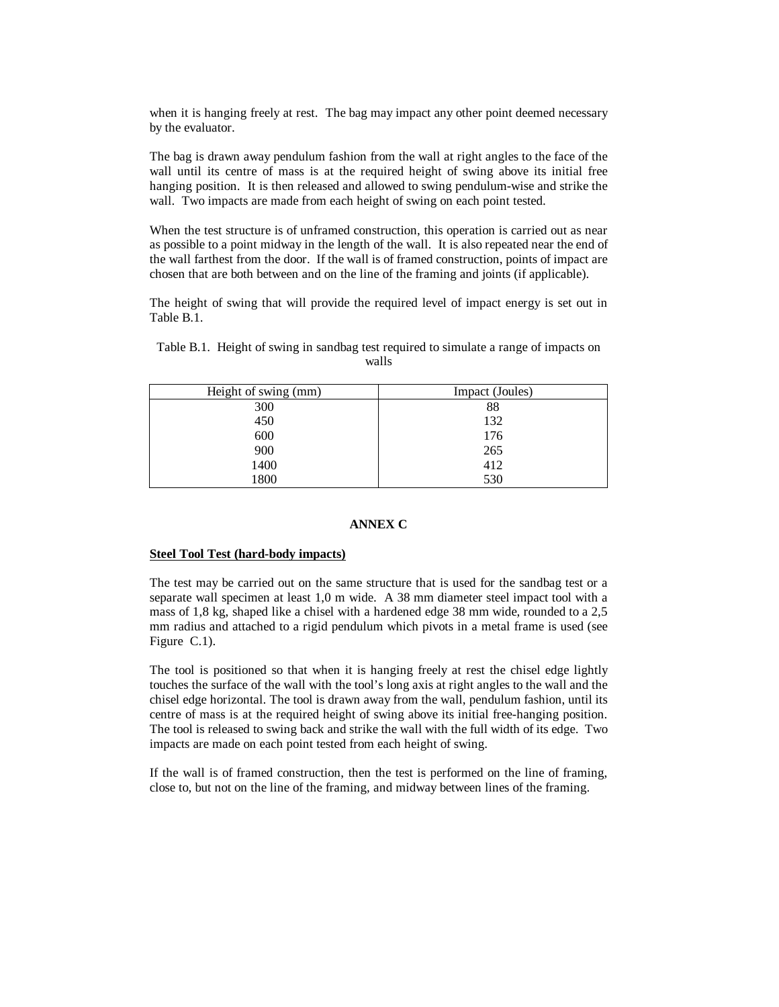when it is hanging freely at rest. The bag may impact any other point deemed necessary by the evaluator.

The bag is drawn away pendulum fashion from the wall at right angles to the face of the wall until its centre of mass is at the required height of swing above its initial free hanging position. It is then released and allowed to swing pendulum-wise and strike the wall. Two impacts are made from each height of swing on each point tested.

When the test structure is of unframed construction, this operation is carried out as near as possible to a point midway in the length of the wall. It is also repeated near the end of the wall farthest from the door. If the wall is of framed construction, points of impact are chosen that are both between and on the line of the framing and joints (if applicable).

The height of swing that will provide the required level of impact energy is set out in Table B.1.

| Height of swing (mm) | Impact (Joules) |
|----------------------|-----------------|
| 300                  | 88              |
| 450                  | 132             |
| 600                  | 176             |
| 900                  | 265             |
| 1400                 | 412             |
| 1800                 | 530             |

Table B.1. Height of swing in sandbag test required to simulate a range of impacts on walls

## **ANNEX C**

#### **Steel Tool Test (hard-body impacts)**

The test may be carried out on the same structure that is used for the sandbag test or a separate wall specimen at least 1,0 m wide. A 38 mm diameter steel impact tool with a mass of 1,8 kg, shaped like a chisel with a hardened edge 38 mm wide, rounded to a 2,5 mm radius and attached to a rigid pendulum which pivots in a metal frame is used (see Figure C.1).

The tool is positioned so that when it is hanging freely at rest the chisel edge lightly touches the surface of the wall with the tool's long axis at right angles to the wall and the chisel edge horizontal. The tool is drawn away from the wall, pendulum fashion, until its centre of mass is at the required height of swing above its initial free-hanging position. The tool is released to swing back and strike the wall with the full width of its edge. Two impacts are made on each point tested from each height of swing.

If the wall is of framed construction, then the test is performed on the line of framing, close to, but not on the line of the framing, and midway between lines of the framing.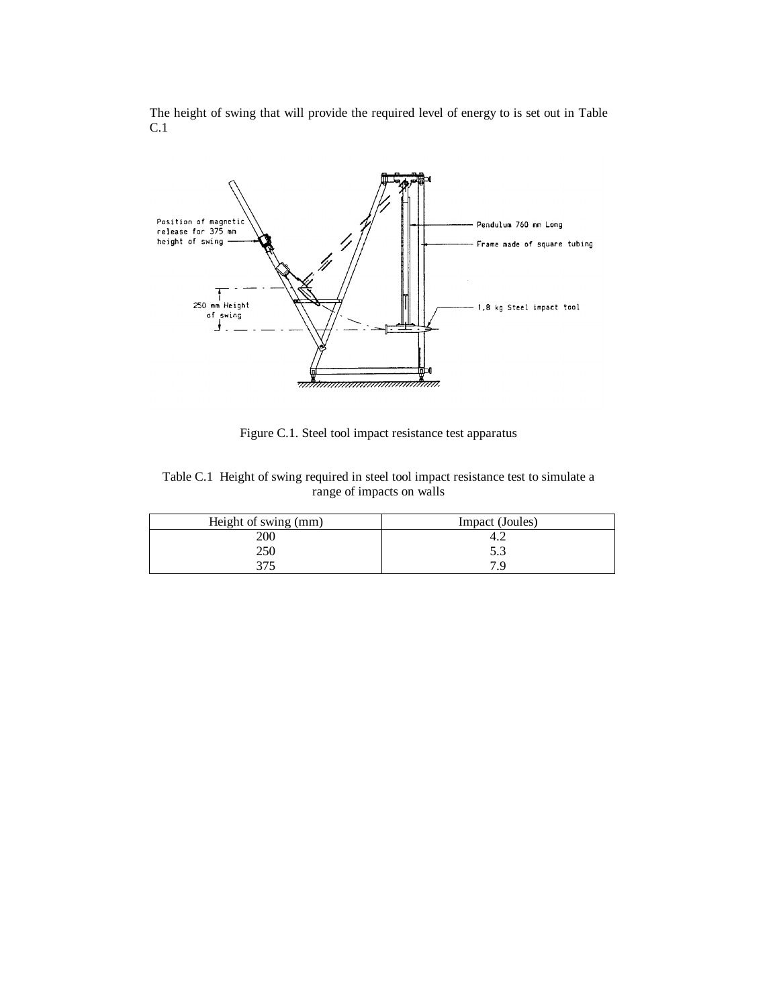The height of swing that will provide the required level of energy to is set out in Table C.1



Figure C.1. Steel tool impact resistance test apparatus

Table C.1 Height of swing required in steel tool impact resistance test to simulate a range of impacts on walls

| Height of swing (mm) | Impact (Joules) |
|----------------------|-----------------|
| 200                  |                 |
| 250                  | 5.3             |
| 27 <sup>r</sup>      | 7 G             |